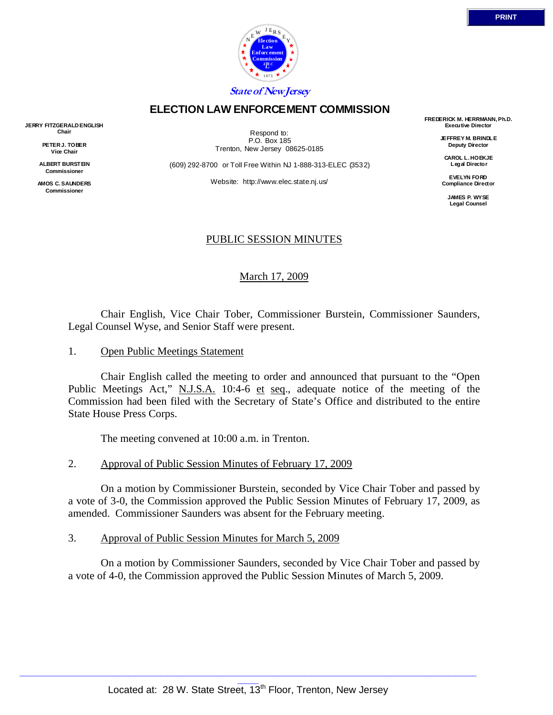

## **ELECTION LAW ENFORCEMENT COMMISSION**

**JERRY FITZGERALD ENGLISH Chair** 

> **PETER J. TOBER Vice Chair**

**ALBERT BURSTEIN Commissioner** 

**AMOS C. SAUNDERS Commissioner** 

Respond to: P.O. Box 185 Trenton, New Jersey 08625-0185

(609) 292-8700 or Toll Free Within NJ 1-888-313-ELEC (3532)

Website: http://www.elec.state.nj.us/

**FREDERICK M. HERRMANN, Ph.D. Executive Director** 

> **JEFFREY M. BRINDLE Deputy Director**

**CAROL L. HOEKJE Legal Director** 

**EVELYN FORD Compliance Director** 

> **JAMES P. WYSE Legal Counsel**

# PUBLIC SESSION MINUTES

### March 17, 2009

 Chair English, Vice Chair Tober, Commissioner Burstein, Commissioner Saunders, Legal Counsel Wyse, and Senior Staff were present.

1. Open Public Meetings Statement

 Chair English called the meeting to order and announced that pursuant to the "Open Public Meetings Act," N.J.S.A. 10:4-6 et seq., adequate notice of the meeting of the Commission had been filed with the Secretary of State's Office and distributed to the entire State House Press Corps.

The meeting convened at 10:00 a.m. in Trenton.

#### 2. Approval of Public Session Minutes of February 17, 2009

 On a motion by Commissioner Burstein, seconded by Vice Chair Tober and passed by a vote of 3-0, the Commission approved the Public Session Minutes of February 17, 2009, as amended. Commissioner Saunders was absent for the February meeting.

3. Approval of Public Session Minutes for March 5, 2009

 On a motion by Commissioner Saunders, seconded by Vice Chair Tober and passed by a vote of 4-0, the Commission approved the Public Session Minutes of March 5, 2009.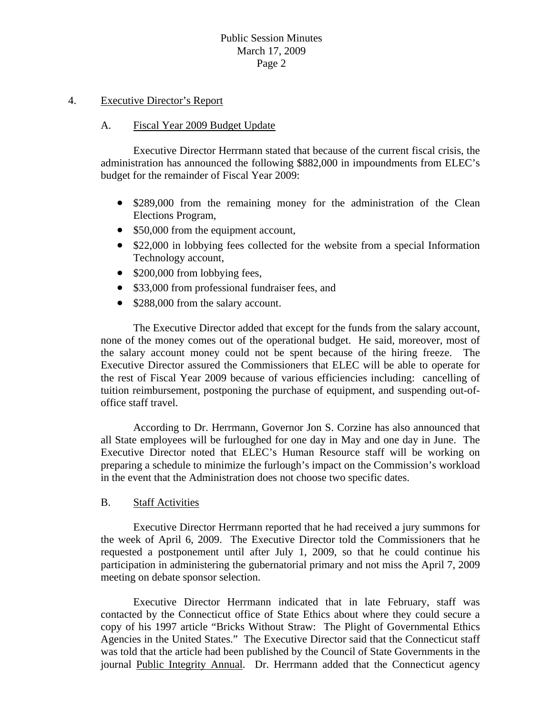#### 4. Executive Director's Report

#### A. Fiscal Year 2009 Budget Update

 Executive Director Herrmann stated that because of the current fiscal crisis, the administration has announced the following \$882,000 in impoundments from ELEC's budget for the remainder of Fiscal Year 2009:

- \$289,000 from the remaining money for the administration of the Clean Elections Program,
- \$50,000 from the equipment account,
- \$22,000 in lobbying fees collected for the website from a special Information Technology account,
- \$200,000 from lobbying fees,
- \$33,000 from professional fundraiser fees, and
- \$288,000 from the salary account.

 The Executive Director added that except for the funds from the salary account, none of the money comes out of the operational budget. He said, moreover, most of the salary account money could not be spent because of the hiring freeze. The Executive Director assured the Commissioners that ELEC will be able to operate for the rest of Fiscal Year 2009 because of various efficiencies including: cancelling of tuition reimbursement, postponing the purchase of equipment, and suspending out-ofoffice staff travel.

 According to Dr. Herrmann, Governor Jon S. Corzine has also announced that all State employees will be furloughed for one day in May and one day in June. The Executive Director noted that ELEC's Human Resource staff will be working on preparing a schedule to minimize the furlough's impact on the Commission's workload in the event that the Administration does not choose two specific dates.

#### B. Staff Activities

 Executive Director Herrmann reported that he had received a jury summons for the week of April 6, 2009. The Executive Director told the Commissioners that he requested a postponement until after July 1, 2009, so that he could continue his participation in administering the gubernatorial primary and not miss the April 7, 2009 meeting on debate sponsor selection.

 Executive Director Herrmann indicated that in late February, staff was contacted by the Connecticut office of State Ethics about where they could secure a copy of his 1997 article "Bricks Without Straw: The Plight of Governmental Ethics Agencies in the United States." The Executive Director said that the Connecticut staff was told that the article had been published by the Council of State Governments in the journal Public Integrity Annual. Dr. Herrmann added that the Connecticut agency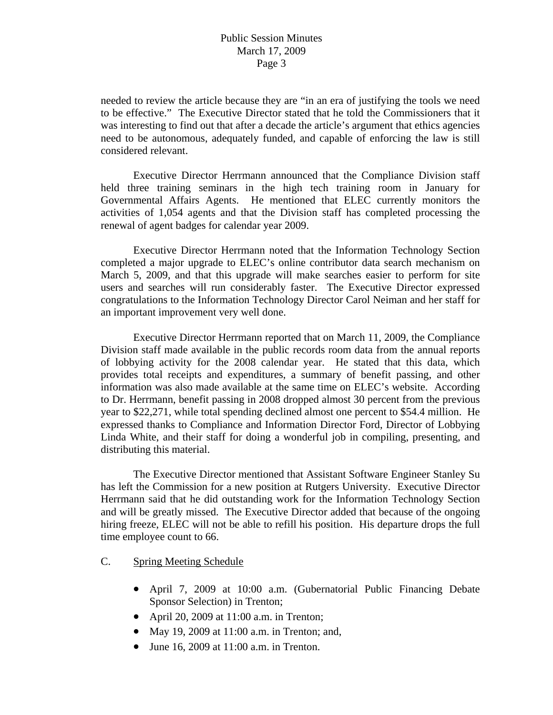needed to review the article because they are "in an era of justifying the tools we need to be effective." The Executive Director stated that he told the Commissioners that it was interesting to find out that after a decade the article's argument that ethics agencies need to be autonomous, adequately funded, and capable of enforcing the law is still considered relevant.

 Executive Director Herrmann announced that the Compliance Division staff held three training seminars in the high tech training room in January for Governmental Affairs Agents. He mentioned that ELEC currently monitors the activities of 1,054 agents and that the Division staff has completed processing the renewal of agent badges for calendar year 2009.

 Executive Director Herrmann noted that the Information Technology Section completed a major upgrade to ELEC's online contributor data search mechanism on March 5, 2009, and that this upgrade will make searches easier to perform for site users and searches will run considerably faster. The Executive Director expressed congratulations to the Information Technology Director Carol Neiman and her staff for an important improvement very well done.

 Executive Director Herrmann reported that on March 11, 2009, the Compliance Division staff made available in the public records room data from the annual reports of lobbying activity for the 2008 calendar year. He stated that this data, which provides total receipts and expenditures, a summary of benefit passing, and other information was also made available at the same time on ELEC's website. According to Dr. Herrmann, benefit passing in 2008 dropped almost 30 percent from the previous year to \$22,271, while total spending declined almost one percent to \$54.4 million. He expressed thanks to Compliance and Information Director Ford, Director of Lobbying Linda White, and their staff for doing a wonderful job in compiling, presenting, and distributing this material.

 The Executive Director mentioned that Assistant Software Engineer Stanley Su has left the Commission for a new position at Rutgers University. Executive Director Herrmann said that he did outstanding work for the Information Technology Section and will be greatly missed. The Executive Director added that because of the ongoing hiring freeze, ELEC will not be able to refill his position. His departure drops the full time employee count to 66.

C. Spring Meeting Schedule

- April 7, 2009 at 10:00 a.m. (Gubernatorial Public Financing Debate Sponsor Selection) in Trenton;
- April 20, 2009 at 11:00 a.m. in Trenton;
- May 19, 2009 at 11:00 a.m. in Trenton; and,
- June 16, 2009 at 11:00 a.m. in Trenton.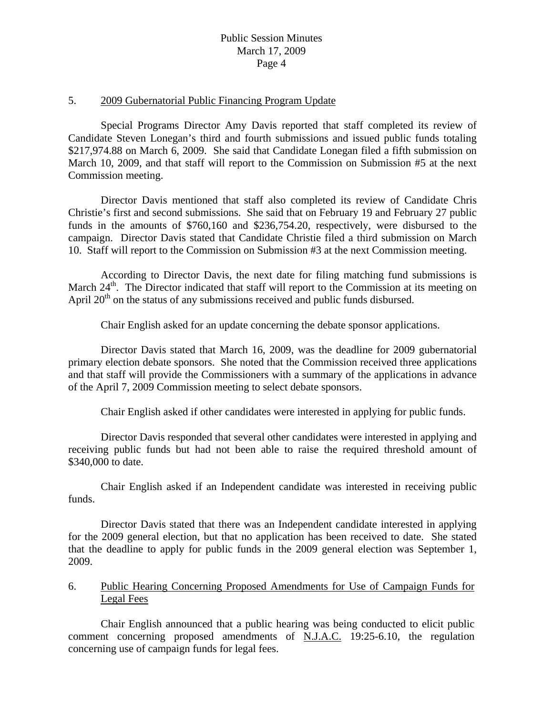## Public Session Minutes March 17, 2009 Page 4

#### 5. 2009 Gubernatorial Public Financing Program Update

 Special Programs Director Amy Davis reported that staff completed its review of Candidate Steven Lonegan's third and fourth submissions and issued public funds totaling \$217,974.88 on March 6, 2009. She said that Candidate Lonegan filed a fifth submission on March 10, 2009, and that staff will report to the Commission on Submission #5 at the next Commission meeting.

Director Davis mentioned that staff also completed its review of Candidate Chris Christie's first and second submissions. She said that on February 19 and February 27 public funds in the amounts of \$760,160 and \$236,754.20, respectively, were disbursed to the campaign. Director Davis stated that Candidate Christie filed a third submission on March 10. Staff will report to the Commission on Submission #3 at the next Commission meeting.

According to Director Davis, the next date for filing matching fund submissions is March  $24<sup>th</sup>$ . The Director indicated that staff will report to the Commission at its meeting on April  $20<sup>th</sup>$  on the status of any submissions received and public funds disbursed.

Chair English asked for an update concerning the debate sponsor applications.

Director Davis stated that March 16, 2009, was the deadline for 2009 gubernatorial primary election debate sponsors. She noted that the Commission received three applications and that staff will provide the Commissioners with a summary of the applications in advance of the April 7, 2009 Commission meeting to select debate sponsors.

Chair English asked if other candidates were interested in applying for public funds.

Director Davis responded that several other candidates were interested in applying and receiving public funds but had not been able to raise the required threshold amount of \$340,000 to date.

Chair English asked if an Independent candidate was interested in receiving public funds.

Director Davis stated that there was an Independent candidate interested in applying for the 2009 general election, but that no application has been received to date. She stated that the deadline to apply for public funds in the 2009 general election was September 1, 2009.

6. Public Hearing Concerning Proposed Amendments for Use of Campaign Funds for Legal Fees

 Chair English announced that a public hearing was being conducted to elicit public comment concerning proposed amendments of N.J.A.C. 19:25-6.10, the regulation concerning use of campaign funds for legal fees.